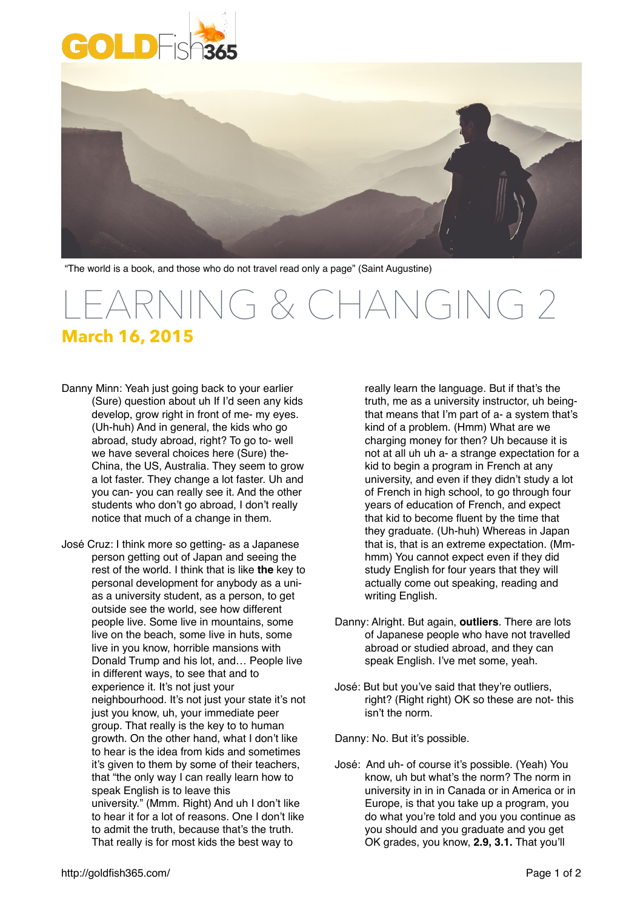



"The world is a book, and those who do not travel read only a page" (Saint Augustine)

## LEARNING & CHANGING 2 **March 16, 2015**

- Danny Minn: Yeah just going back to your earlier (Sure) question about uh If I'd seen any kids develop, grow right in front of me- my eyes. (Uh-huh) And in general, the kids who go abroad, study abroad, right? To go to- well we have several choices here (Sure) the-China, the US, Australia. They seem to grow a lot faster. They change a lot faster. Uh and you can- you can really see it. And the other students who don't go abroad, I don't really notice that much of a change in them.
- José Cruz: I think more so getting- as a Japanese person getting out of Japan and seeing the rest of the world. I think that is like **the** key to personal development for anybody as a unias a university student, as a person, to get outside see the world, see how different people live. Some live in mountains, some live on the beach, some live in huts, some live in you know, horrible mansions with Donald Trump and his lot, and… People live in different ways, to see that and to experience it. It's not just your neighbourhood. It's not just your state it's not just you know, uh, your immediate peer group. That really is the key to to human growth. On the other hand, what I don't like to hear is the idea from kids and sometimes it's given to them by some of their teachers, that "the only way I can really learn how to speak English is to leave this university." (Mmm. Right) And uh I don't like to hear it for a lot of reasons. One I don't like to admit the truth, because that's the truth. That really is for most kids the best way to

really learn the language. But if that's the truth, me as a university instructor, uh beingthat means that I'm part of a- a system that's kind of a problem. (Hmm) What are we charging money for then? Uh because it is not at all uh uh a- a strange expectation for a kid to begin a program in French at any university, and even if they didn't study a lot of French in high school, to go through four years of education of French, and expect that kid to become fluent by the time that they graduate. (Uh-huh) Whereas in Japan that is, that is an extreme expectation. (Mmhmm) You cannot expect even if they did study English for four years that they will actually come out speaking, reading and writing English.

- Danny: Alright. But again, **outliers**. There are lots of Japanese people who have not travelled abroad or studied abroad, and they can speak English. I've met some, yeah.
- José: But but you've said that they're outliers, right? (Right right) OK so these are not- this isn't the norm.

Danny: No. But it's possible.

José: And uh- of course it's possible. (Yeah) You know, uh but what's the norm? The norm in university in in in Canada or in America or in Europe, is that you take up a program, you do what you're told and you you continue as you should and you graduate and you get OK grades, you know, **2.9, 3.1.** That you'll